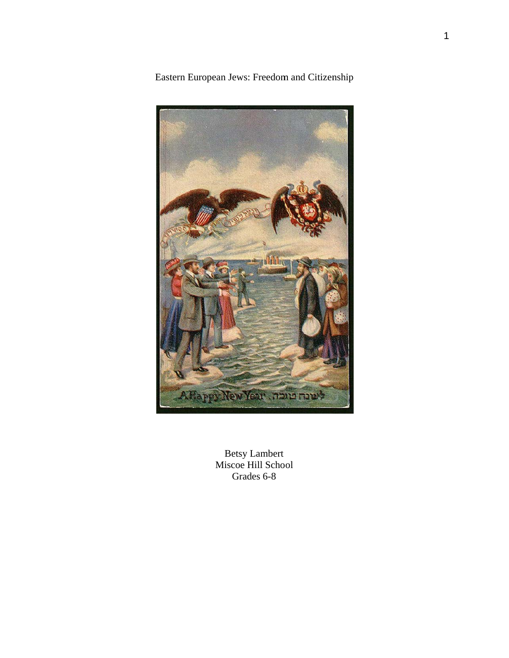

Eastern European Jews: Freedom and Citizenship

**Betsy Lambert** Miscoe Hill School Grades 6-8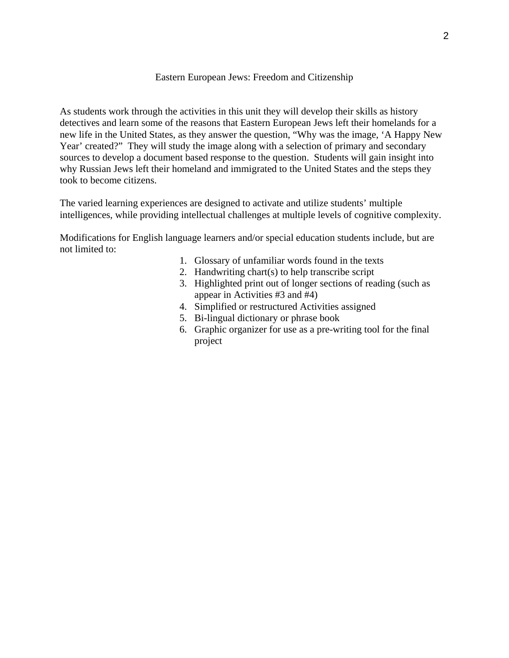# Eastern European Jews: Freedom and Citizenship

As students work through the activities in this unit they will develop their skills as history detectives and learn some of the reasons that Eastern European Jews left their homelands for a new life in the United States, as they answer the question, "Why was the image, 'A Happy New Year' created?" They will study the image along with a selection of primary and secondary sources to develop a document based response to the question. Students will gain insight into why Russian Jews left their homeland and immigrated to the United States and the steps they took to become citizens.

The varied learning experiences are designed to activate and utilize students' multiple intelligences, while providing intellectual challenges at multiple levels of cognitive complexity.

Modifications for English language learners and/or special education students include, but are not limited to:

- 1. Glossary of unfamiliar words found in the texts
- 2. Handwriting chart(s) to help transcribe script
- 3. Highlighted print out of longer sections of reading (such as appear in Activities #3 and #4)
- 4. Simplified or restructured Activities assigned
- 5. Bi-lingual dictionary or phrase book
- 6. Graphic organizer for use as a pre-writing tool for the final project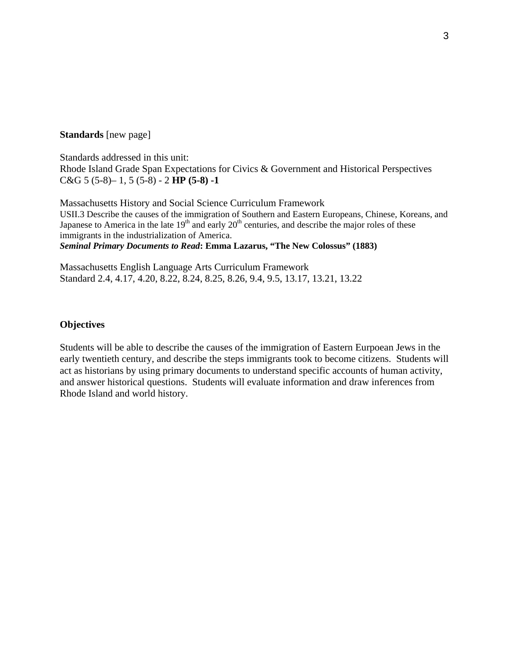#### **Standards** [new page]

Standards addressed in this unit: Rhode Island Grade Span Expectations for Civics & Government and Historical Perspectives C&G 5 (5-8)– 1, 5 (5-8) - 2 **HP (5-8) -1** 

Massachusetts History and Social Science Curriculum Framework USII.3 Describe the causes of the immigration of Southern and Eastern Europeans, Chinese, Koreans, and Japanese to America in the late  $19<sup>th</sup>$  and early  $20<sup>th</sup>$  centuries, and describe the major roles of these immigrants in the industrialization of America. *Seminal Primary Documents to Read***: Emma Lazarus, "The New Colossus" (1883)**

Massachusetts English Language Arts Curriculum Framework Standard 2.4, 4.17, 4.20, 8.22, 8.24, 8.25, 8.26, 9.4, 9.5, 13.17, 13.21, 13.22

## **Objectives**

Students will be able to describe the causes of the immigration of Eastern Eurpoean Jews in the early twentieth century, and describe the steps immigrants took to become citizens. Students will act as historians by using primary documents to understand specific accounts of human activity, and answer historical questions. Students will evaluate information and draw inferences from Rhode Island and world history.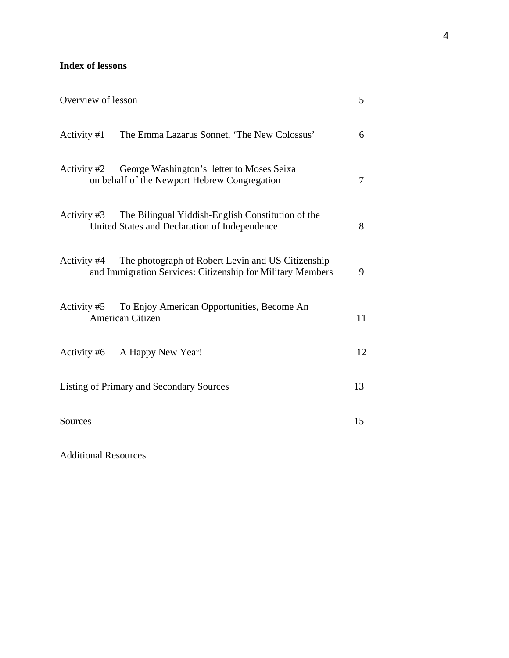# **Index of lessons**

| Overview of lesson                       |                                                                                                                 | 5  |
|------------------------------------------|-----------------------------------------------------------------------------------------------------------------|----|
|                                          | Activity #1 The Emma Lazarus Sonnet, 'The New Colossus'                                                         | 6  |
| Activity #2                              | George Washington's letter to Moses Seixa<br>on behalf of the Newport Hebrew Congregation                       | 7  |
| Activity #3                              | The Bilingual Yiddish-English Constitution of the<br>United States and Declaration of Independence              | 8  |
| Activity #4                              | The photograph of Robert Levin and US Citizenship<br>and Immigration Services: Citizenship for Military Members | 9  |
| American Citizen                         | Activity #5 To Enjoy American Opportunities, Become An                                                          | 11 |
| Activity #6 A Happy New Year!            |                                                                                                                 | 12 |
| Listing of Primary and Secondary Sources |                                                                                                                 | 13 |
| Sources                                  |                                                                                                                 | 15 |

Additional Resources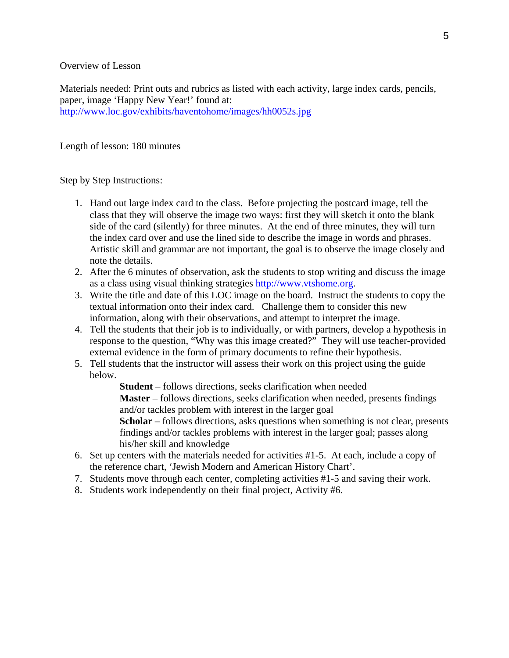Overview of Lesson

Materials needed: Print outs and rubrics as listed with each activity, large index cards, pencils, paper, image 'Happy New Year!' found at: http://www.loc.gov/exhibits/haventohome/images/hh0052s.jpg

#### Length of lesson: 180 minutes

Step by Step Instructions:

- 1. Hand out large index card to the class. Before projecting the postcard image, tell the class that they will observe the image two ways: first they will sketch it onto the blank side of the card (silently) for three minutes. At the end of three minutes, they will turn the index card over and use the lined side to describe the image in words and phrases. Artistic skill and grammar are not important, the goal is to observe the image closely and note the details.
- 2. After the 6 minutes of observation, ask the students to stop writing and discuss the image as a class using visual thinking strategies http://www.vtshome.org.
- 3. Write the title and date of this LOC image on the board. Instruct the students to copy the textual information onto their index card. Challenge them to consider this new information, along with their observations, and attempt to interpret the image.
- 4. Tell the students that their job is to individually, or with partners, develop a hypothesis in response to the question, "Why was this image created?" They will use teacher-provided external evidence in the form of primary documents to refine their hypothesis.
- 5. Tell students that the instructor will assess their work on this project using the guide below.

**Student** – follows directions, seeks clarification when needed **Master** – follows directions, seeks clarification when needed, presents findings and/or tackles problem with interest in the larger goal **Scholar** – follows directions, asks questions when something is not clear, presents findings and/or tackles problems with interest in the larger goal; passes along his/her skill and knowledge

- 6. Set up centers with the materials needed for activities #1-5. At each, include a copy of the reference chart, 'Jewish Modern and American History Chart'.
- 7. Students move through each center, completing activities #1-5 and saving their work.
- 8. Students work independently on their final project, Activity #6.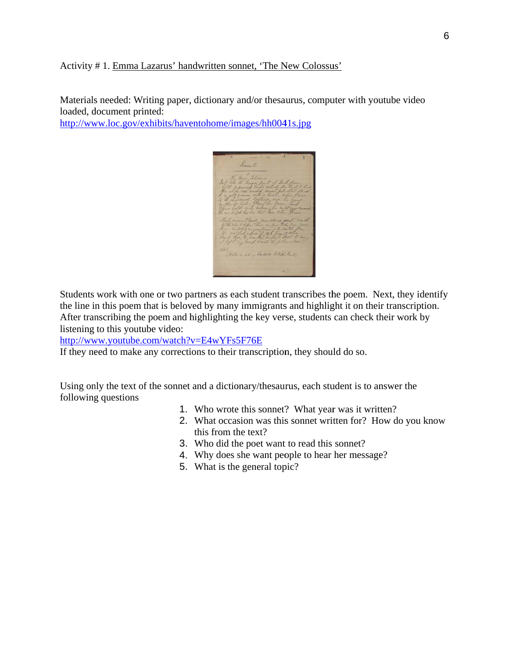### Activity # 1. Emma Lazarus' handwritten sonnet, 'The New Colossus'

Materials needed: Writing paper, dictionary and/or thesaurus, computer with youtube video loaded, document printed:

http://www.loc.gov/exhibits/haventohome/images/hh0041s.jpg



Students work with one or two partners as each student transcribes the poem. Next, they identify the line in this poem that is beloved by many immigrants and highlight it on their transcription. After transcribing the poem and highlighting the key verse, students can check their work by listening to this youtube video:

http://www.youtube.com/watch?v=E4wYFs5F76E

If they need to make any corrections to their transcription, they should do so.

Using only the text of the sonnet and a dictionary/thesaurus, each student is to answer the following questions

- 1. Who wrote this sonnet? What year was it written?
- 2. What occasion was this sonnet written for? How do you know this from the text?
- 3. Who did the poet want to read this sonnet?
- 4. Why does she want people to hear her message?
- 5. What is the general topic?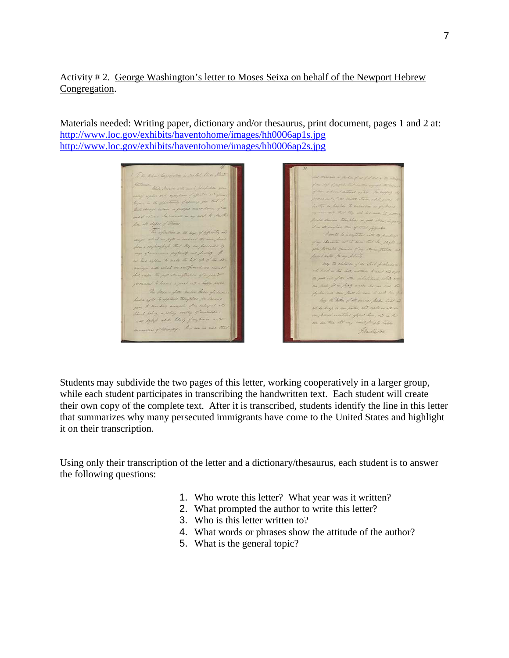# Activity #2. George Washington's letter to Moses Seixa on behalf of the Newport Hebrew Congregation.

Materials needed: Writing paper, dictionary and/or thesaurus, print document, pages 1 and 2 at: http://www.loc.gov/exhibits/haventohome/images/hh0006ap1s.jpg http://www.loc.gov/exhibits/haventohome/images/hh0006ap2s.jpg

The Main Conservation in another Stear of the William Harris wille and resultions of of I d as mille hater in the offentumity of apring you that To as desired to ensure ays return a justiful unsordence of the did retime Sectionals in my order to Marthe , isto chiper of theme.<br>The reflectives in the laga of differently and on all confire then effectively popular David he incorporate with the parting panjer sedich on pap<sup>i</sup>er rendred the mar forcet<br>from a regionalized that they are facciaded by in character we to some that he steats in proceeds finish of my somewhatis as account sufferent and peace of hand with the one lettered here willow to make the left of of the at may the children of the State of Marke is with which we see fined, we cannot will in the last, watched to and all only il, ander the post estimalitation of a good to good will of the other indictionary, while ever and to become a great case a lighty device. as pate for in plats under the our vice in The Stevens of the United States of admin py tree, and there that he came to water him of have a night to applied themptons for the hay the Father of all messive fresher light all your to assisting complete of in intergrad and of declared in our paths, and make us all in there policy a policy worthy of unitation one process construct appel here, out in this As polis alle thing further and an see the est way contribuingly happy ation of cities that . It is now as more Gladington.  $\overline{\phantom{a}}$ 

Students may subdivide the two pages of this letter, working cooperatively in a larger group, while each student participates in transcribing the handwritten text. Each student will create while each student participates in transcribing the handwritten text. Each student will create<br>their own copy of the complete text. After it is transcribed, students identify the line in this letter that summarizes why many persecuted immigrants have come to the United States and highlight it on their transcription.

Using only their transcription of the letter and a dictionary/thesaurus, each student is to answer the following questions:

- 1. Who wrote this letter? What year was it written?
- 2. What prompted the author to write this letter?
- 3. Who is this letter written to?
- 4. What words or phrases show the attitude of the author?
- 5. What is the general topic?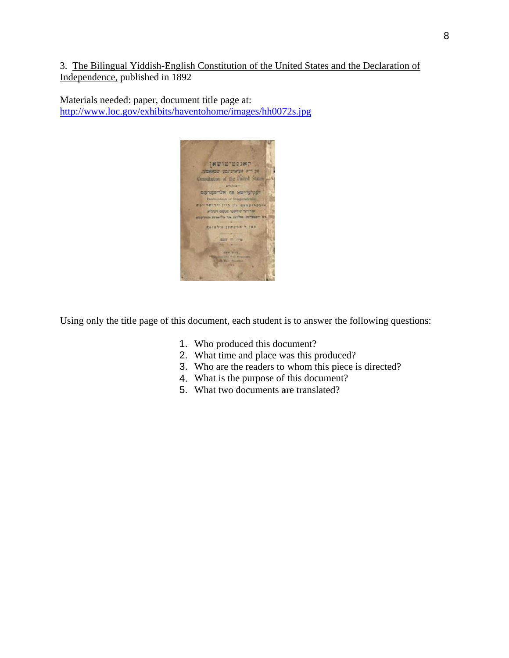3. The Bilingual Yiddish-English Constitution of the United States and the Declaration of Independence, published in 1892

Materials needed: paper, document title page at: http://www.loc.gov/exhibits/haventohome/images/hh0072s.jpg



Using only the title page of this document, each student is to answer the following questions:

- 1. Who produced this document?
- 2. What time and place was this produced?
- 3. Who are the readers to whom this piece is directed?
- 4. What is the purpose of this document?
- 5. What two documents are translated?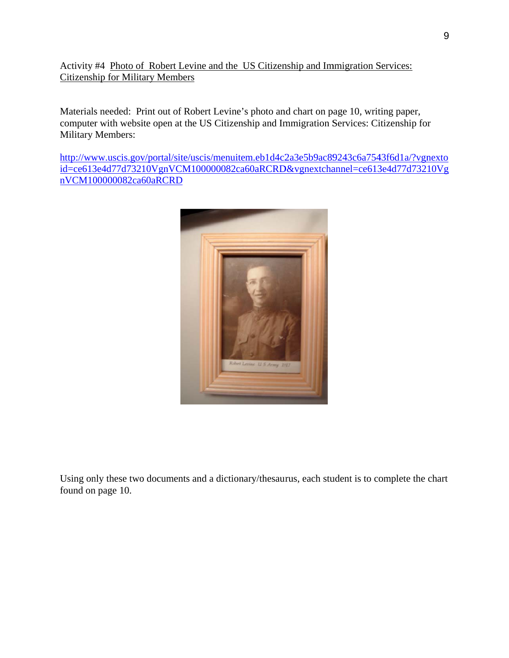Activity #4 Photo of Robert Levine and the US Citizenship and Immigration Services: **Citizenship for Military Members** 

Materials needed: Print out of Robert Levine's photo and chart on page 10, writing paper, computer with website open at the US Citizenship and Immigration Services: Citizenship for Military Members:

http://www.uscis.gov/portal/site/uscis/menuitem.eb1d4c2a3e5b9ac89243c6a7543f6d1a/?vgnexto id=ce613e4d77d73210VgnVCM100000082ca60aRCRD&vgnextchannel=ce613e4d77d73210Vg nVCM100000082ca60aRCRD



Using only these two documents and a dictionary/thesaurus, each student is to complete the chart found on page 10.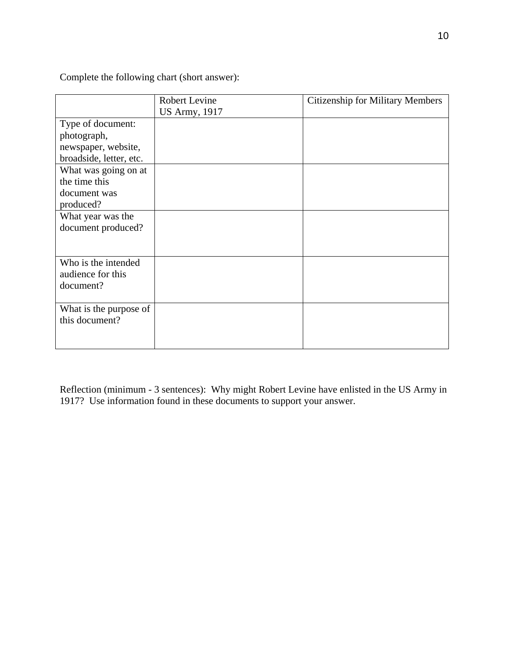Complete the following chart (short answer):

|                                                                                                                                             | <b>Robert Levine</b><br><b>US Army</b> , 1917 | <b>Citizenship for Military Members</b> |
|---------------------------------------------------------------------------------------------------------------------------------------------|-----------------------------------------------|-----------------------------------------|
| Type of document:<br>photograph,<br>newspaper, website,<br>broadside, letter, etc.<br>What was going on at<br>the time this<br>document was |                                               |                                         |
| produced?                                                                                                                                   |                                               |                                         |
| What year was the<br>document produced?                                                                                                     |                                               |                                         |
| Who is the intended<br>audience for this<br>document?                                                                                       |                                               |                                         |
| What is the purpose of<br>this document?                                                                                                    |                                               |                                         |

Reflection (minimum - 3 sentences): Why might Robert Levine have enlisted in the US Army in 1917? Use information found in these documents to support your answer.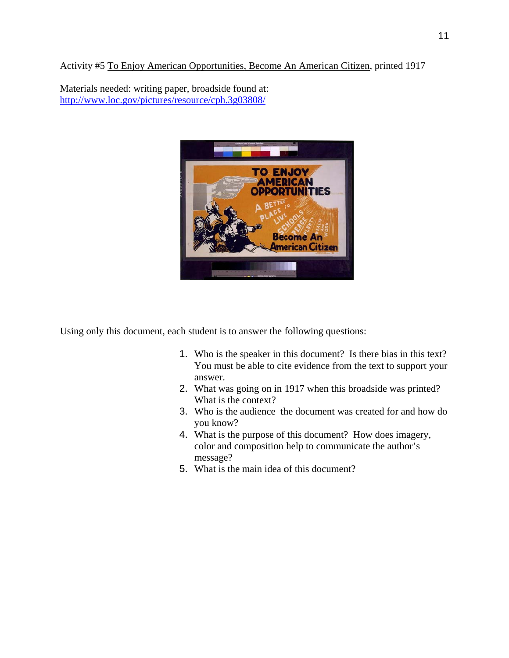Activity #5 To Enjoy American Opportunities, Become An American Citizen, printed 1917

Materials needed: writing paper, broadside found at: http://www.loc.gov/pictures/resource/cph.3g03808/



Using only this document, each student is to answer the following questions:

- 1. Who is the speaker in this document? Is there bias in this text? You must be able to cite evidence from the text to support your answer.
- 2. What was going on in 1917 when this broadside was printed? What is the context?
- 3. Who is the audience the document was created for and how do you know?
- 4. What is the purpose of this document? How does imagery, color and composition help to communicate the author's message?
- 5. What is the main idea of this document?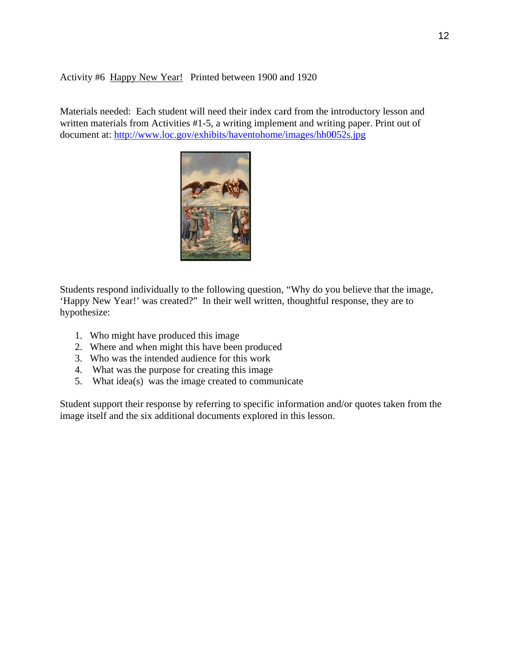# Activity #6 Happy New Year! Printed between 1900 and 1920

Materials needed: Each student will need their index card from the introductory lesson and written materials from Activities #1-5, a writing implement and writing paper. Print out of document at: http://www.loc.gov/exhibits/haventohome/images/hh0052s.jpg



Students respond individually to the following question, "Why do you believe that the image, 'Happy New Year!' was created?" In their well written, thoughtful response, they are to hypothes size:

- 1. Who might have produced this image
- 1. Who might have produced this image<br>2. Where and when might this have been produced
- 3. Who was the intended audience for this work
- 4. What was the purpose for creating this image
- 5. What  $idea(s)$  was the image created to communicate

Student support their response by referring to specific information and/or quotes taken from the image itself and the six additional documents explored in this lesson.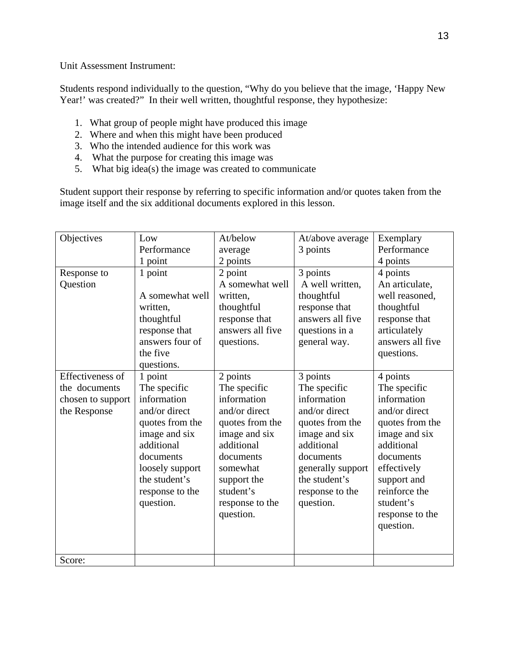Unit Assessment Instrument:

Students respond individually to the question, "Why do you believe that the image, 'Happy New Year!' was created?" In their well written, thoughtful response, they hypothesize:

- 1. What group of people might have produced this image
- 2. Where and when this might have been produced
- 3. Who the intended audience for this work was
- 4. What the purpose for creating this image was
- 5. What big idea(s) the image was created to communicate

Student support their response by referring to specific information and/or quotes taken from the image itself and the six additional documents explored in this lesson.

| Objectives        | Low             | At/below         | At/above average  | Exemplary        |
|-------------------|-----------------|------------------|-------------------|------------------|
|                   | Performance     | average          | 3 points          | Performance      |
|                   | 1 point         | 2 points         |                   | 4 points         |
| Response to       | 1 point         | 2 point          | 3 points          | 4 points         |
| Question          |                 | A somewhat well  | A well written,   | An articulate,   |
|                   | A somewhat well | written,         | thoughtful        | well reasoned,   |
|                   | written.        | thoughtful       | response that     | thoughtful       |
|                   | thoughtful      | response that    | answers all five  | response that    |
|                   | response that   | answers all five | questions in a    | articulately     |
|                   | answers four of | questions.       | general way.      | answers all five |
|                   | the five        |                  |                   | questions.       |
|                   | questions.      |                  |                   |                  |
| Effectiveness of  | 1 point         | 2 points         | 3 points          | 4 points         |
| the documents     | The specific    | The specific     | The specific      | The specific     |
| chosen to support | information     | information      | information       | information      |
| the Response      | and/or direct   | and/or direct    | and/or direct     | and/or direct    |
|                   | quotes from the | quotes from the  | quotes from the   | quotes from the  |
|                   | image and six   | image and six    | image and six     | image and six    |
|                   | additional      | additional       | additional        | additional       |
|                   | documents       | documents        | documents         | documents        |
|                   | loosely support | somewhat         | generally support | effectively      |
|                   | the student's   | support the      | the student's     | support and      |
|                   | response to the | student's        | response to the   | reinforce the    |
|                   | question.       | response to the  | question.         | student's        |
|                   |                 | question.        |                   | response to the  |
|                   |                 |                  |                   | question.        |
|                   |                 |                  |                   |                  |
|                   |                 |                  |                   |                  |
| Score:            |                 |                  |                   |                  |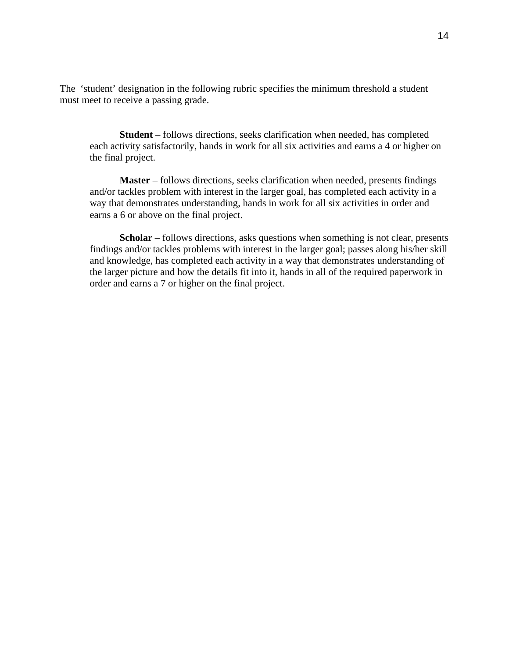The 'student' designation in the following rubric specifies the minimum threshold a student must meet to receive a passing grade.

**Student** – follows directions, seeks clarification when needed, has completed each activity satisfactorily, hands in work for all six activities and earns a 4 or higher on the final project.

**Master** – follows directions, seeks clarification when needed, presents findings and/or tackles problem with interest in the larger goal, has completed each activity in a way that demonstrates understanding, hands in work for all six activities in order and earns a 6 or above on the final project.

**Scholar** – follows directions, asks questions when something is not clear, presents findings and/or tackles problems with interest in the larger goal; passes along his/her skill and knowledge, has completed each activity in a way that demonstrates understanding of the larger picture and how the details fit into it, hands in all of the required paperwork in order and earns a 7 or higher on the final project.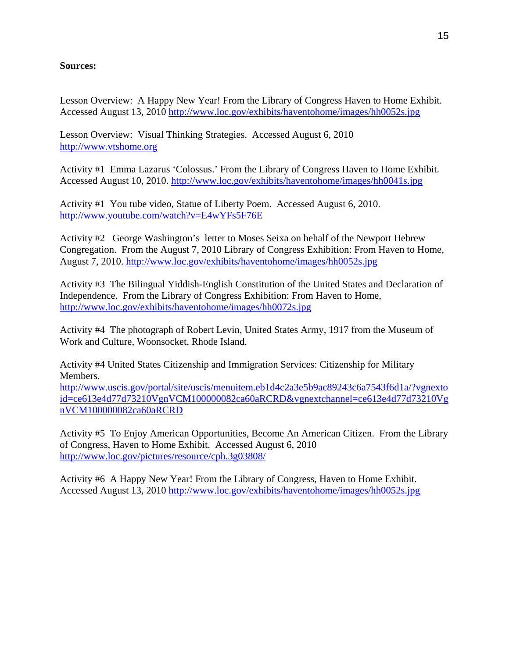# **Sources:**

Lesson Overview: A Happy New Year! From the Library of Congress Haven to Home Exhibit. Accessed August 13, 2010 http://www.loc.gov/exhibits/haventohome/images/hh0052s.jpg

Lesson Overview: Visual Thinking Strategies. Accessed August 6, 2010 http://www.vtshome.org

Activity #1 Emma Lazarus 'Colossus.' From the Library of Congress Haven to Home Exhibit. Accessed August 10, 2010. http://www.loc.gov/exhibits/haventohome/images/hh0041s.jpg

Activity #1 You tube video, Statue of Liberty Poem. Accessed August 6, 2010. http://www.youtube.com/watch?v=E4wYFs5F76E

Activity #2 George Washington's letter to Moses Seixa on behalf of the Newport Hebrew Congregation. From the August 7, 2010 Library of Congress Exhibition: From Haven to Home, August 7, 2010. http://www.loc.gov/exhibits/haventohome/images/hh0052s.jpg

Activity #3 The Bilingual Yiddish-English Constitution of the United States and Declaration of Independence. From the Library of Congress Exhibition: From Haven to Home, http://www.loc.gov/exhibits/haventohome/images/hh0072s.jpg

Activity #4 The photograph of Robert Levin, United States Army, 1917 from the Museum of Work and Culture, Woonsocket, Rhode Island.

Activity #4 United States Citizenship and Immigration Services: Citizenship for Military Members.

http://www.uscis.gov/portal/site/uscis/menuitem.eb1d4c2a3e5b9ac89243c6a7543f6d1a/?vgnexto id=ce613e4d77d73210VgnVCM100000082ca60aRCRD&vgnextchannel=ce613e4d77d73210Vg nVCM100000082ca60aRCRD

Activity #5 To Enjoy American Opportunities, Become An American Citizen. From the Library of Congress, Haven to Home Exhibit. Accessed August 6, 2010 http://www.loc.gov/pictures/resource/cph.3g03808/

Activity #6 A Happy New Year! From the Library of Congress, Haven to Home Exhibit. Accessed August 13, 2010 http://www.loc.gov/exhibits/haventohome/images/hh0052s.jpg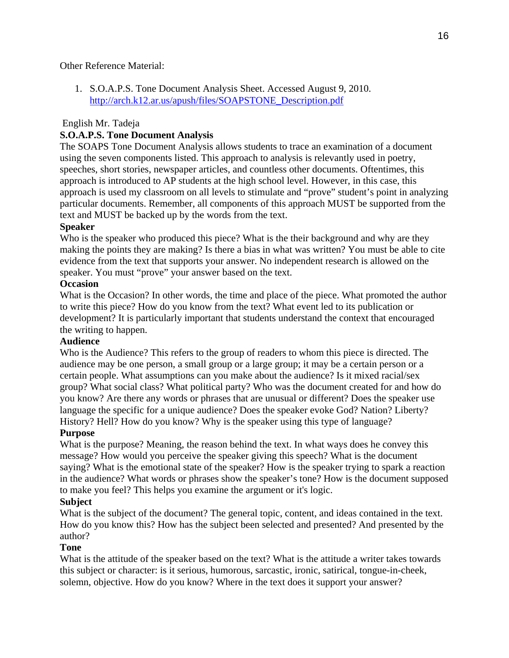# Other Reference Material:

1. S.O.A.P.S. Tone Document Analysis Sheet. Accessed August 9, 2010. http://arch.k12.ar.us/apush/files/SOAPSTONE\_Description.pdf

# English Mr. Tadeja

# **S.O.A.P.S. Tone Document Analysis**

The SOAPS Tone Document Analysis allows students to trace an examination of a document using the seven components listed. This approach to analysis is relevantly used in poetry, speeches, short stories, newspaper articles, and countless other documents. Oftentimes, this approach is introduced to AP students at the high school level. However, in this case, this approach is used my classroom on all levels to stimulate and "prove" student's point in analyzing particular documents. Remember, all components of this approach MUST be supported from the text and MUST be backed up by the words from the text.

# **Speaker**

Who is the speaker who produced this piece? What is the their background and why are they making the points they are making? Is there a bias in what was written? You must be able to cite evidence from the text that supports your answer. No independent research is allowed on the speaker. You must "prove" your answer based on the text.

## **Occasion**

What is the Occasion? In other words, the time and place of the piece. What promoted the author to write this piece? How do you know from the text? What event led to its publication or development? It is particularly important that students understand the context that encouraged the writing to happen.

## **Audience**

Who is the Audience? This refers to the group of readers to whom this piece is directed. The audience may be one person, a small group or a large group; it may be a certain person or a certain people. What assumptions can you make about the audience? Is it mixed racial/sex group? What social class? What political party? Who was the document created for and how do you know? Are there any words or phrases that are unusual or different? Does the speaker use language the specific for a unique audience? Does the speaker evoke God? Nation? Liberty? History? Hell? How do you know? Why is the speaker using this type of language?

## **Purpose**

What is the purpose? Meaning, the reason behind the text. In what ways does he convey this message? How would you perceive the speaker giving this speech? What is the document saying? What is the emotional state of the speaker? How is the speaker trying to spark a reaction in the audience? What words or phrases show the speaker's tone? How is the document supposed to make you feel? This helps you examine the argument or it's logic.

## **Subject**

What is the subject of the document? The general topic, content, and ideas contained in the text. How do you know this? How has the subject been selected and presented? And presented by the author?

## **Tone**

What is the attitude of the speaker based on the text? What is the attitude a writer takes towards this subject or character: is it serious, humorous, sarcastic, ironic, satirical, tongue-in-cheek, solemn, objective. How do you know? Where in the text does it support your answer?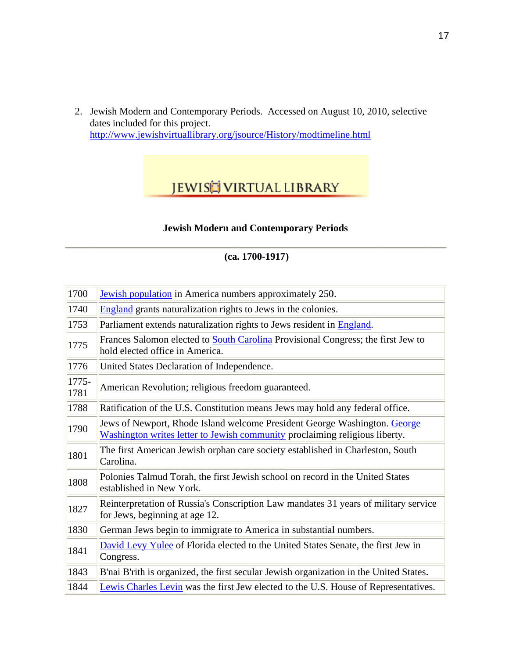2. Jewish Modern and Contemporary Periods. Accessed on August 10, 2010, selective dates included for this project. http://www.jewishvirtuallibrary.org/jsource/History/modtimeline.html

# **JEWISH VIRTUAL LIBRARY**

# **Jewish Modern and Contemporary Periods**

# $(ca. 1700-1917)$

| 1700          | Jewish population in America numbers approximately 250.                                                                                                  |
|---------------|----------------------------------------------------------------------------------------------------------------------------------------------------------|
| 1740          | England grants naturalization rights to Jews in the colonies.                                                                                            |
| 1753          | Parliament extends naturalization rights to Jews resident in England.                                                                                    |
| 1775          | Frances Salomon elected to <b>South Carolina</b> Provisional Congress; the first Jew to<br>hold elected office in America.                               |
| 1776          | United States Declaration of Independence.                                                                                                               |
| 1775-<br>1781 | American Revolution; religious freedom guaranteed.                                                                                                       |
| 1788          | Ratification of the U.S. Constitution means Jews may hold any federal office.                                                                            |
| 1790          | Jews of Newport, Rhode Island welcome President George Washington. George<br>Washington writes letter to Jewish community proclaiming religious liberty. |
| 1801          | The first American Jewish orphan care society established in Charleston, South<br>Carolina.                                                              |
| 1808          | Polonies Talmud Torah, the first Jewish school on record in the United States<br>established in New York.                                                |
| 1827          | Reinterpretation of Russia's Conscription Law mandates 31 years of military service<br>for Jews, beginning at age 12.                                    |
| 1830          | German Jews begin to immigrate to America in substantial numbers.                                                                                        |
| 1841          | David Levy Yulee of Florida elected to the United States Senate, the first Jew in<br>Congress.                                                           |
| 1843          | B'nai B'rith is organized, the first secular Jewish organization in the United States.                                                                   |
| 1844          | Lewis Charles Levin was the first Jew elected to the U.S. House of Representatives.                                                                      |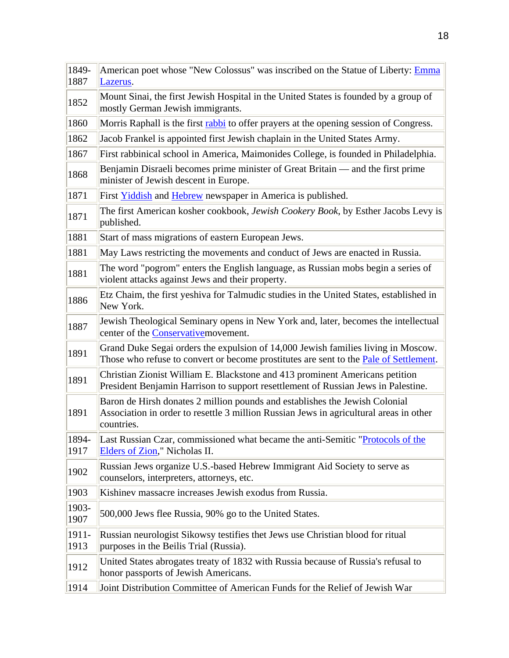| 1849-<br>1887 | American poet whose "New Colossus" was inscribed on the Statue of Liberty: Emma<br>Lazerus.                                                                                         |
|---------------|-------------------------------------------------------------------------------------------------------------------------------------------------------------------------------------|
| 1852          | Mount Sinai, the first Jewish Hospital in the United States is founded by a group of<br>mostly German Jewish immigrants.                                                            |
| 1860          | Morris Raphall is the first rabbi to offer prayers at the opening session of Congress.                                                                                              |
| 1862          | Jacob Frankel is appointed first Jewish chaplain in the United States Army.                                                                                                         |
| 1867          | First rabbinical school in America, Maimonides College, is founded in Philadelphia.                                                                                                 |
| 1868          | Benjamin Disraeli becomes prime minister of Great Britain — and the first prime<br>minister of Jewish descent in Europe.                                                            |
| 1871          | First <b>Yiddish</b> and <b>Hebrew</b> newspaper in America is published.                                                                                                           |
| 1871          | The first American kosher cookbook, Jewish Cookery Book, by Esther Jacobs Levy is<br>published.                                                                                     |
| 1881          | Start of mass migrations of eastern European Jews.                                                                                                                                  |
| 1881          | May Laws restricting the movements and conduct of Jews are enacted in Russia.                                                                                                       |
| 1881          | The word "pogrom" enters the English language, as Russian mobs begin a series of<br>violent attacks against Jews and their property.                                                |
| 1886          | Etz Chaim, the first yeshiva for Talmudic studies in the United States, established in<br>New York.                                                                                 |
| 1887          | Jewish Theological Seminary opens in New York and, later, becomes the intellectual<br>center of the Conservative movement.                                                          |
| 1891          | Grand Duke Segai orders the expulsion of 14,000 Jewish families living in Moscow.<br>Those who refuse to convert or become prostitutes are sent to the <b>Pale of Settlement</b> .  |
| 1891          | Christian Zionist William E. Blackstone and 413 prominent Americans petition<br>President Benjamin Harrison to support resettlement of Russian Jews in Palestine.                   |
| 1891          | Baron de Hirsh donates 2 million pounds and establishes the Jewish Colonial<br>Association in order to resettle 3 million Russian Jews in agricultural areas in other<br>countries. |
| 1894-<br>1917 | Last Russian Czar, commissioned what became the anti-Semitic "Protocols of the<br>Elders of Zion," Nicholas II.                                                                     |
| 1902          | Russian Jews organize U.S.-based Hebrew Immigrant Aid Society to serve as<br>counselors, interpreters, attorneys, etc.                                                              |
| 1903          | Kishinev massacre increases Jewish exodus from Russia.                                                                                                                              |
| 1903-<br>1907 | 500,000 Jews flee Russia, 90% go to the United States.                                                                                                                              |
| 1911-<br>1913 | Russian neurologist Sikowsy testifies thet Jews use Christian blood for ritual<br>purposes in the Beilis Trial (Russia).                                                            |
| 1912          | United States abrogates treaty of 1832 with Russia because of Russia's refusal to<br>honor passports of Jewish Americans.                                                           |
| 1914          | Joint Distribution Committee of American Funds for the Relief of Jewish War                                                                                                         |